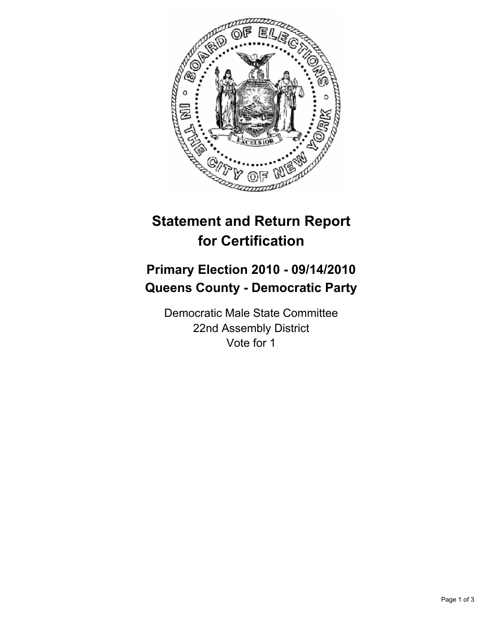

## **Statement and Return Report for Certification**

## **Primary Election 2010 - 09/14/2010 Queens County - Democratic Party**

Democratic Male State Committee 22nd Assembly District Vote for 1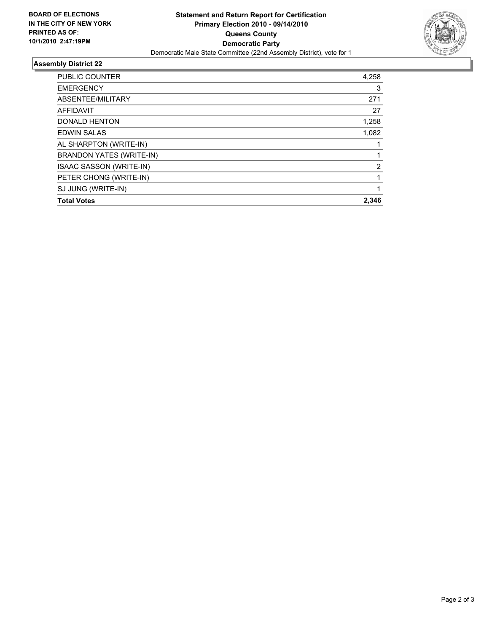

## **Assembly District 22**

| <b>Total Votes</b>              | 2.346          |
|---------------------------------|----------------|
| SJ JUNG (WRITE-IN)              |                |
| PETER CHONG (WRITE-IN)          |                |
| <b>ISAAC SASSON (WRITE-IN)</b>  | $\overline{2}$ |
| <b>BRANDON YATES (WRITE-IN)</b> |                |
| AL SHARPTON (WRITE-IN)          |                |
| <b>EDWIN SALAS</b>              | 1,082          |
| <b>DONALD HENTON</b>            | 1,258          |
| <b>AFFIDAVIT</b>                | 27             |
| ABSENTEE/MILITARY               | 271            |
| <b>EMERGENCY</b>                | 3              |
| <b>PUBLIC COUNTER</b>           | 4,258          |